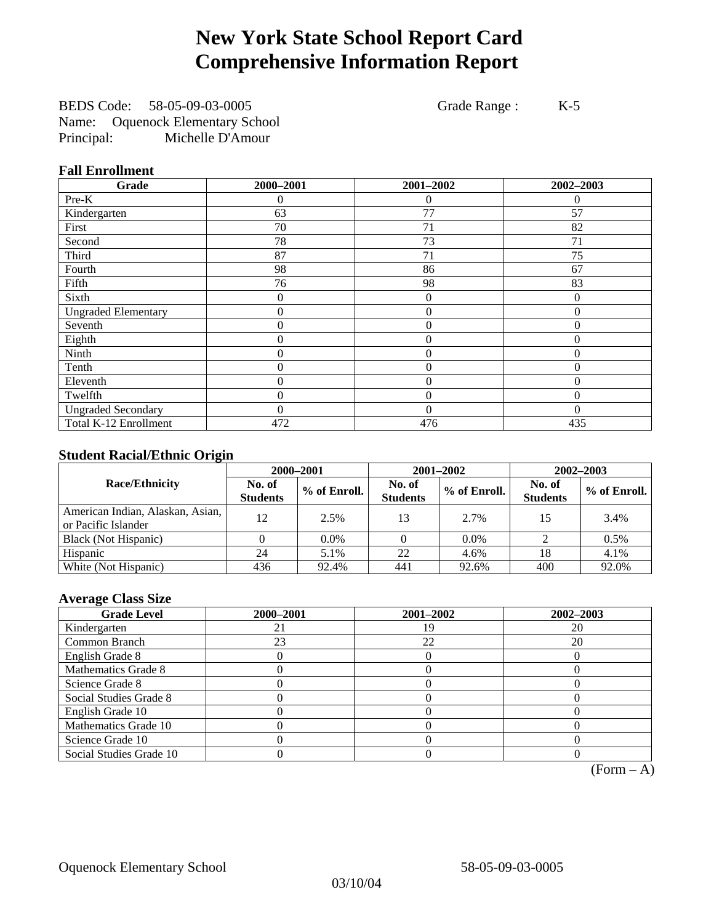# **New York State School Report Card Comprehensive Information Report**

BEDS Code: 58-05-09-03-0005 Grade Range : K-5 Name: Oquenock Elementary School Principal: Michelle D'Amour

### **Fall Enrollment**

| Grade                      | 2000-2001      | 2001-2002      | 2002-2003    |
|----------------------------|----------------|----------------|--------------|
| Pre-K                      | 0              | $\overline{0}$ | $\theta$     |
| Kindergarten               | 63             | 77             | 57           |
| First                      | 70             | 71             | 82           |
| Second                     | 78             | 73             | 71           |
| Third                      | 87             | 71             | 75           |
| Fourth                     | 98             | 86             | 67           |
| Fifth                      | 76             | 98             | 83           |
| Sixth                      | 0              | $\overline{0}$ | $\Omega$     |
| <b>Ungraded Elementary</b> | 0              | $\theta$       | $\Omega$     |
| Seventh                    | $\overline{0}$ | $\mathbf{0}$   | $\theta$     |
| Eighth                     | 0              | $\overline{0}$ | $\Omega$     |
| Ninth                      | 0              | $\theta$       | $\theta$     |
| Tenth                      | 0              | $\overline{0}$ | $\Omega$     |
| Eleventh                   | 0              | $\overline{0}$ | 0            |
| Twelfth                    | 0              | $\overline{0}$ | $\mathbf{0}$ |
| <b>Ungraded Secondary</b>  | 0              | $\Omega$       | $\Omega$     |
| Total K-12 Enrollment      | 472            | 476            | 435          |

### **Student Racial/Ethnic Origin**

|                                                         | 2000-2001                 |              |                           | 2001-2002    | 2002-2003                 |                |
|---------------------------------------------------------|---------------------------|--------------|---------------------------|--------------|---------------------------|----------------|
| <b>Race/Ethnicity</b>                                   | No. of<br><b>Students</b> | % of Enroll. | No. of<br><b>Students</b> | % of Enroll. | No. of<br><b>Students</b> | $%$ of Enroll. |
| American Indian, Alaskan, Asian,<br>or Pacific Islander | 12                        | 2.5%         | 13                        | 2.7%         | 15                        | 3.4%           |
| Black (Not Hispanic)                                    |                           | $0.0\%$      |                           | $0.0\%$      |                           | 0.5%           |
| Hispanic                                                | 24                        | 5.1%         | 22                        | 4.6%         | 18                        | 4.1%           |
| White (Not Hispanic)                                    | 436                       | 92.4%        | 441                       | 92.6%        | 400                       | 92.0%          |

### **Average Class Size**

| <b>Grade Level</b>      | 2000-2001 | 2001-2002 | 2002-2003 |
|-------------------------|-----------|-----------|-----------|
| Kindergarten            |           | 1 G       | 20        |
| Common Branch           | 23        | 22        | 20        |
| English Grade 8         |           |           |           |
| Mathematics Grade 8     |           |           |           |
| Science Grade 8         |           |           |           |
| Social Studies Grade 8  |           |           |           |
| English Grade 10        |           |           |           |
| Mathematics Grade 10    |           |           |           |
| Science Grade 10        |           |           |           |
| Social Studies Grade 10 |           |           |           |

 $(Form - A)$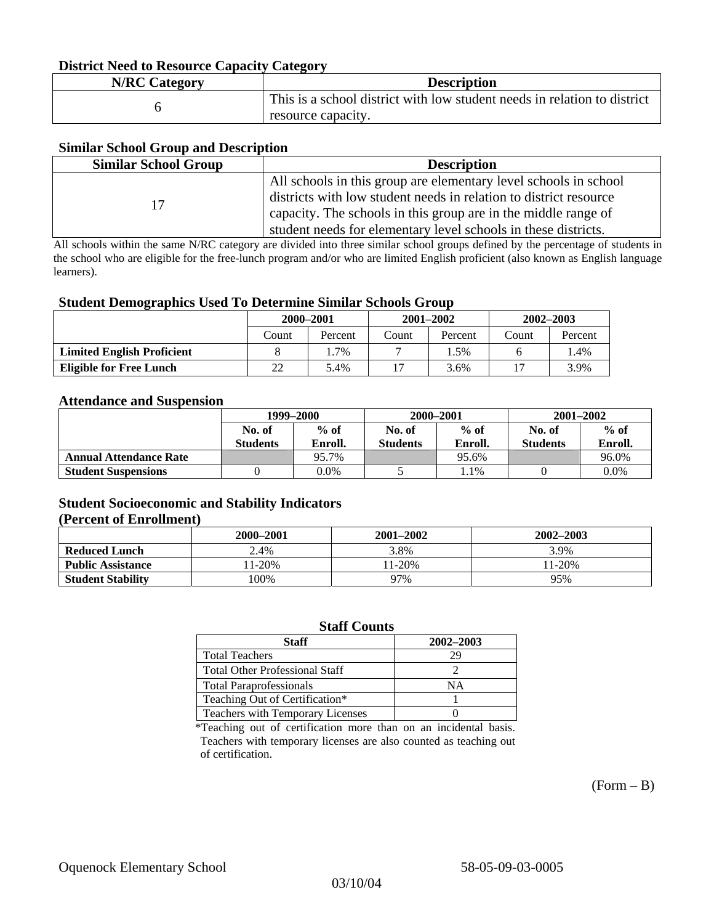#### **District Need to Resource Capacity Category**

| <b>N/RC Category</b> | <b>Description</b>                                                                             |
|----------------------|------------------------------------------------------------------------------------------------|
|                      | This is a school district with low student needs in relation to district<br>resource capacity. |

#### **Similar School Group and Description**

| <b>Similar School Group</b> | <b>Description</b>                                                |
|-----------------------------|-------------------------------------------------------------------|
|                             | All schools in this group are elementary level schools in school  |
| 17                          | districts with low student needs in relation to district resource |
|                             | capacity. The schools in this group are in the middle range of    |
|                             | student needs for elementary level schools in these districts.    |

All schools within the same N/RC category are divided into three similar school groups defined by the percentage of students in the school who are eligible for the free-lunch program and/or who are limited English proficient (also known as English language learners).

#### **Student Demographics Used To Determine Similar Schools Group**

| . .                               | 2000-2001 |         | $2001 - 2002$ |         | $2002 - 2003$ |         |
|-----------------------------------|-----------|---------|---------------|---------|---------------|---------|
|                                   | .`ount    | Percent | Count         | Percent | Count         | Percent |
| <b>Limited English Proficient</b> |           | $.7\%$  |               | .5%     |               | .4%     |
| <b>Eligible for Free Lunch</b>    | 22        | 5.4%    |               | 3.6%    |               | 3.9%    |

#### **Attendance and Suspension**

|                               | 1999–2000        |         | 2000-2001        |         | $2001 - 2002$   |         |
|-------------------------------|------------------|---------|------------------|---------|-----------------|---------|
|                               | $%$ of<br>No. of |         | $%$ of<br>No. of |         | No. of          | $%$ of  |
|                               | <b>Students</b>  | Enroll. | <b>Students</b>  | Enroll. | <b>Students</b> | Enroll. |
| <b>Annual Attendance Rate</b> |                  | 95.7%   |                  | 95.6%   |                 | 96.0%   |
| <b>Student Suspensions</b>    |                  | 0.0%    |                  | . . 1%  |                 | 0.0%    |

### **Student Socioeconomic and Stability Indicators (Percent of Enrollment)**

|                          | 2000-2001 | $2001 - 2002$ | 2002-2003 |
|--------------------------|-----------|---------------|-----------|
| <b>Reduced Lunch</b>     | 2.4%      | 3.8%          | 3.9%      |
| <b>Public Assistance</b> | 11-20%    | $1-20%$       | $11-20%$  |
| <b>Student Stability</b> | $00\%$    | 97%           | 95%       |

#### **Staff Counts**

| Staff                                 | 2002-2003 |
|---------------------------------------|-----------|
| <b>Total Teachers</b>                 | 29        |
| <b>Total Other Professional Staff</b> |           |
| <b>Total Paraprofessionals</b>        | NΑ        |
| Teaching Out of Certification*        |           |
| Teachers with Temporary Licenses      |           |

\*Teaching out of certification more than on an incidental basis. Teachers with temporary licenses are also counted as teaching out of certification.

 $(Form - B)$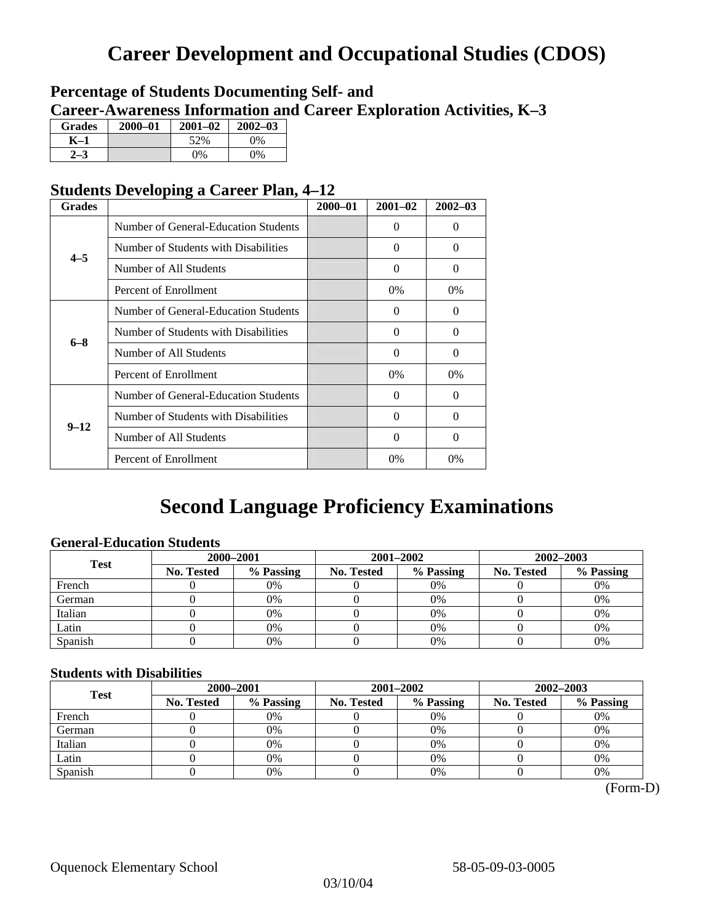# **Career Development and Occupational Studies (CDOS)**

### **Percentage of Students Documenting Self- and Career-Awareness Information and Career Exploration Activities, K–3**

| <b>Grades</b> | 2000-01 | $2001 - 02$ | $2002 - 03$ |
|---------------|---------|-------------|-------------|
| K-1           |         | 52%         | $0\%$       |
| ב י           |         | $0\%$       | 0%          |

### **Students Developing a Career Plan, 4–12**

| <b>Grades</b> |                                      | $2000 - 01$ | $2001 - 02$ | $2002 - 03$ |
|---------------|--------------------------------------|-------------|-------------|-------------|
|               | Number of General-Education Students |             | $\Omega$    | 0           |
| $4 - 5$       | Number of Students with Disabilities |             | $\Omega$    | 0           |
|               | Number of All Students               |             | 0           | $\Omega$    |
|               | Percent of Enrollment                |             | $0\%$       | $0\%$       |
|               | Number of General-Education Students |             | $\Omega$    | 0           |
| $6 - 8$       | Number of Students with Disabilities |             | $\Omega$    | $\Omega$    |
|               | Number of All Students               |             | $\Omega$    | $\Omega$    |
|               | Percent of Enrollment                |             | $0\%$       | $0\%$       |
|               | Number of General-Education Students |             | $\Omega$    | 0           |
| $9 - 12$      | Number of Students with Disabilities |             | $\Omega$    | $\Omega$    |
|               | Number of All Students               |             | 0           | 0           |
|               | Percent of Enrollment                |             | 0%          | $0\%$       |

# **Second Language Proficiency Examinations**

### **General-Education Students**

| <b>Test</b> | 2000-2001  |           |                   | 2001-2002 | 2002-2003         |           |
|-------------|------------|-----------|-------------------|-----------|-------------------|-----------|
|             | No. Tested | % Passing | <b>No. Tested</b> | % Passing | <b>No. Tested</b> | % Passing |
| French      |            | 0%        |                   | $0\%$     |                   | 0%        |
| German      |            | 0%        |                   | 0%        |                   | 0%        |
| Italian     |            | 0%        |                   | 0%        |                   | 0%        |
| Latin       |            | 0%        |                   | $0\%$     |                   | 0%        |
| Spanish     |            | 0%        |                   | 0%        |                   | 0%        |

### **Students with Disabilities**

| <b>Test</b> | 2000-2001  |           |            | 2001-2002 | 2002-2003  |           |  |
|-------------|------------|-----------|------------|-----------|------------|-----------|--|
|             | No. Tested | % Passing | No. Tested | % Passing | No. Tested | % Passing |  |
| French      |            | 0%        |            | 0%        |            | 0%        |  |
| German      |            | 0%        |            | $0\%$     |            | 0%        |  |
| Italian     |            | 0%        |            | 0%        |            | 0%        |  |
| Latin       |            | 0%        |            | 0%        |            | 0%        |  |
| Spanish     |            | 0%        |            | 0%        |            | 0%        |  |

(Form-D)